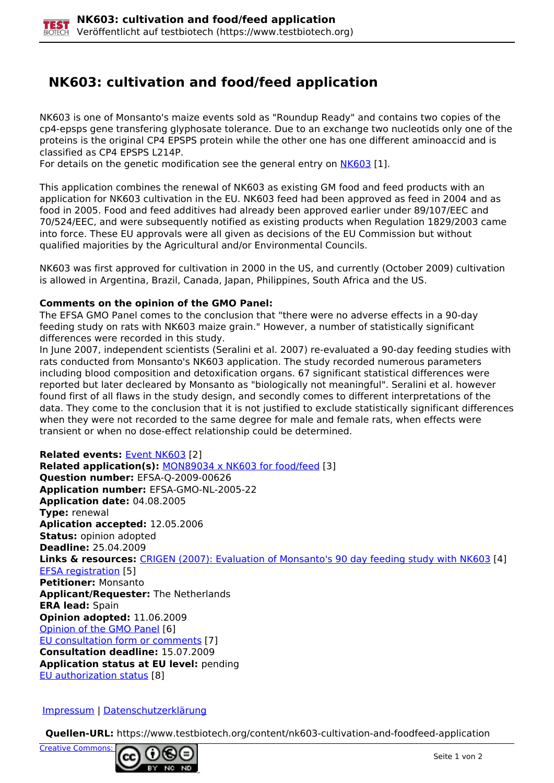## **NK603: cultivation and food/feed application**

NK603 is one of Monsanto's maize events sold as "Roundup Ready" and contains two copies of the cp4-epsps gene transfering glyphosate tolerance. Due to an exchange two nucleotids only one of the proteins is the original CP4 EPSPS protein while the other one has one different aminoaccid and is classified as CP4 EPSPS L214P.

For details on the genetic modification see the general entry on [NK603](https://www.testbiotech.org/en/node/39) [1].

This application combines the renewal of NK603 as existing GM food and feed products with an application for NK603 cultivation in the EU. NK603 feed had been approved as feed in 2004 and as food in 2005. Food and feed additives had already been approved earlier under 89/107/EEC and 70/524/EEC, and were subsequently notified as existing products when Regulation 1829/2003 came into force. These EU approvals were all given as decisions of the EU Commission but without qualified majorities by the Agricultural and/or Environmental Councils.

NK603 was first approved for cultivation in 2000 in the US, and currently (October 2009) cultivation is allowed in Argentina, Brazil, Canada, Japan, Philippines, South Africa and the US.

## **Comments on the opinion of the GMO Panel:**

The EFSA GMO Panel comes to the conclusion that "there were no adverse effects in a 90-day feeding study on rats with NK603 maize grain." However, a number of statistically significant differences were recorded in this study.

In June 2007, independent scientists (Seralini et al. 2007) re-evaluated a 90-day feeding studies with rats conducted from Monsanto's NK603 application. The study recorded numerous parameters including blood composition and detoxification organs. 67 significant statistical differences were reported but later decleared by Monsanto as "biologically not meaningful". Seralini et al. however found first of all flaws in the study design, and secondly comes to different interpretations of the data. They come to the conclusion that it is not justified to exclude statistically significant differences when they were not recorded to the same degree for male and female rats, when effects were transient or when no dose-effect relationship could be determined.

**Related events:** Event NK603 [2] **Related application(s):** MON89034 x NK603 for food/feed [3] **Question number:** EFSA-Q-2009-00626 **Application number:** EFSA-GMO-NL-2005-22 **Application date:** 04.08.2005 **Type:** renewal **Aplication accepted:** 12.05.2006 **Status:** opinion adopted **Deadline:** 25.04.2009 **Links & resources:** CRIGEN (2007): Evaluation of Monsanto's 90 day feeding study with NK603 [4] EFSA registration [5] **Petitioner:** Monsanto **Applicant/Requester:** The Netherlands **ERA lead:** Spain **Opinion adopted:** 11.06.2009 Opinion of the GMO Panel [6] EU consultation form or comments [7] **Consultation deadline:** 15.07.2009 **Application status at EU level:** pending EU authorization status [8]

Impressum | Datenschutzerklärung

**Quellen-URL:** https://www.testbiotech.org/content/nk603-cultivation-and-foodfeed-application